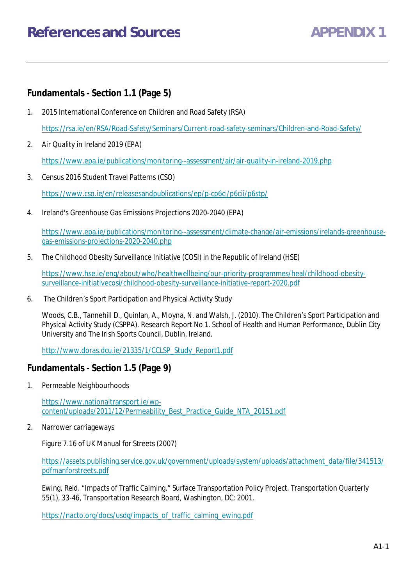## **Fundamentals - Section 1.1 (Page 5)**

- 1. 2015 International Conference on Children and Road Safety (RSA) https://rsa.ie/en/RSA/Road-Safety/Seminars/Current-road-safety-seminars/Children-and-Road-Safety/
- 2. Air Quality in Ireland 2019 (EPA)

https://www.epa.ie/publications/monitoring--assessment/air/air-quality-in-ireland-2019.php

- 3. Census 2016 Student Travel Patterns (CSO) https://www.cso.ie/en/releasesandpublications/ep/p-cp6ci/p6cii/p6stp/
- 4. Ireland's Greenhouse Gas Emissions Projections 2020-2040 (EPA)

https://www.epa.ie/publications/monitoring--assessment/climate-change/air-emissions/irelands-greenhousegas-emissions-projections-2020-2040.php

5. The Childhood Obesity Surveillance Initiative (COSI) in the Republic of Ireland (HSE)

https://www.hse.ie/eng/about/who/healthwellbeing/our-priority-programmes/heal/childhood-obesitysurveillance-initiativecosi/childhood-obesity-surveillance-initiative-report-2020.pdf

6. The Children's Sport Participation and Physical Activity Study

Woods, C.B., Tannehill D., Quinlan, A., Moyna, N. and Walsh, J. (2010). The Children's Sport Participation and Physical Activity Study (CSPPA). Research Report No 1. School of Health and Human Performance, Dublin City University and The Irish Sports Council, Dublin, Ireland.

http://www.doras.dcu.ie/21335/1/CCLSP\_Study\_Report1.pdf

### **Fundamentals - Section 1.5 (Page 9)**

1. Permeable Neighbourhoods

https://www.nationaltransport.ie/wpcontent/uploads/2011/12/Permeability\_Best\_Practice\_Guide\_NTA\_20151.pdf

2. Narrower carriageways

Figure 7.16 of UK Manual for Streets (2007)

https://assets.publishing.service.gov.uk/government/uploads/system/uploads/attachment\_data/file/341513/ pdfmanforstreets.pdf

Ewing, Reid. "Impacts of Traffic Calming." Surface Transportation Policy Project. Transportation Quarterly 55(1), 33-46, Transportation Research Board, Washington, DC: 2001.

https://nacto.org/docs/usdg/impacts\_of\_traffic\_calming\_ewing.pdf